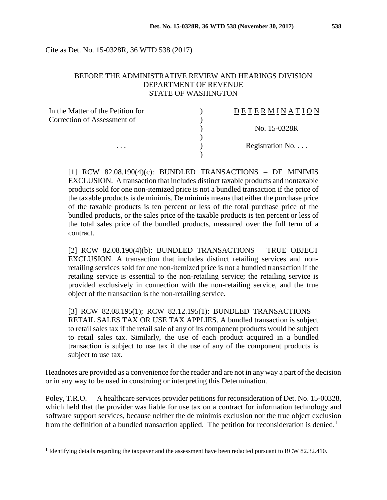Cite as Det. No. 15-0328R, 36 WTD 538 (2017)

## BEFORE THE ADMINISTRATIVE REVIEW AND HEARINGS DIVISION DEPARTMENT OF REVENUE STATE OF WASHINGTON

| In the Matter of the Petition for | DETERMINATION   |
|-----------------------------------|-----------------|
| Correction of Assessment of       |                 |
|                                   | No. 15-0328R    |
|                                   |                 |
| .                                 | Registration No |
|                                   |                 |

[1] RCW 82.08.190(4)(c): BUNDLED TRANSACTIONS – DE MINIMIS EXCLUSION. A transaction that includes distinct taxable products and nontaxable products sold for one non-itemized price is not a bundled transaction if the price of the taxable products is de minimis. De minimis means that either the purchase price of the taxable products is ten percent or less of the total purchase price of the bundled products, or the sales price of the taxable products is ten percent or less of the total sales price of the bundled products, measured over the full term of a contract.

[2] RCW 82.08.190(4)(b): BUNDLED TRANSACTIONS – TRUE OBJECT EXCLUSION. A transaction that includes distinct retailing services and nonretailing services sold for one non-itemized price is not a bundled transaction if the retailing service is essential to the non-retailing service; the retailing service is provided exclusively in connection with the non-retailing service, and the true object of the transaction is the non-retailing service.

[3] RCW 82.08.195(1); RCW 82.12.195(1): BUNDLED TRANSACTIONS – RETAIL SALES TAX OR USE TAX APPLIES. A bundled transaction is subject to retail sales tax if the retail sale of any of its component products would be subject to retail sales tax. Similarly, the use of each product acquired in a bundled transaction is subject to use tax if the use of any of the component products is subject to use tax.

Headnotes are provided as a convenience for the reader and are not in any way a part of the decision or in any way to be used in construing or interpreting this Determination.

Poley, T.R.O. – A healthcare services provider petitions for reconsideration of Det. No. 15-00328, which held that the provider was liable for use tax on a contract for information technology and software support services, because neither the de minimis exclusion nor the true object exclusion from the definition of a bundled transaction applied. The petition for reconsideration is denied.<sup>1</sup>

<sup>&</sup>lt;sup>1</sup> Identifying details regarding the taxpayer and the assessment have been redacted pursuant to RCW 82.32.410.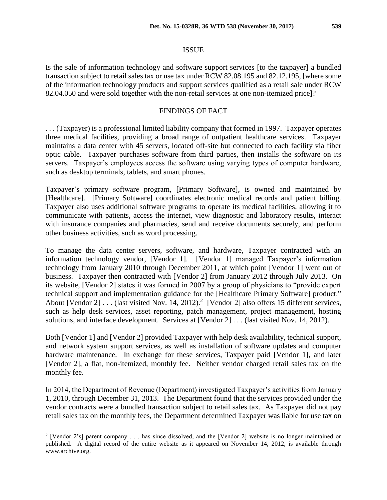Is the sale of information technology and software support services [to the taxpayer] a bundled transaction subject to retail sales tax or use tax under RCW 82.08.195 and 82.12.195, [where some of the information technology products and support services qualified as a retail sale under RCW 82.04.050 and were sold together with the non-retail services at one non-itemized price]?

## FINDINGS OF FACT

. . . (Taxpayer) is a professional limited liability company that formed in 1997. Taxpayer operates three medical facilities, providing a broad range of outpatient healthcare services. Taxpayer maintains a data center with 45 servers, located off-site but connected to each facility via fiber optic cable. Taxpayer purchases software from third parties, then installs the software on its servers. Taxpayer's employees access the software using varying types of computer hardware, such as desktop terminals, tablets, and smart phones.

Taxpayer's primary software program, [Primary Software], is owned and maintained by [Healthcare]. [Primary Software] coordinates electronic medical records and patient billing. Taxpayer also uses additional software programs to operate its medical facilities, allowing it to communicate with patients, access the internet, view diagnostic and laboratory results, interact with insurance companies and pharmacies, send and receive documents securely, and perform other business activities, such as word processing.

To manage the data center servers, software, and hardware, Taxpayer contracted with an information technology vendor, [Vendor 1]. [Vendor 1] managed Taxpayer's information technology from January 2010 through December 2011, at which point [Vendor 1] went out of business. Taxpayer then contracted with [Vendor 2] from January 2012 through July 2013. On its website, [Vendor 2] states it was formed in 2007 by a group of physicians to "provide expert technical support and implementation guidance for the [Healthcare Primary Software] product." About [Vendor 2] . . . (last visited Nov. 14, 2012).<sup>2</sup> [Vendor 2] also offers 15 different services, such as help desk services, asset reporting, patch management, project management, hosting solutions, and interface development. Services at [Vendor 2] . . . (last visited Nov. 14, 2012).

Both [Vendor 1] and [Vendor 2] provided Taxpayer with help desk availability, technical support, and network system support services, as well as installation of software updates and computer hardware maintenance. In exchange for these services, Taxpayer paid [Vendor 1], and later [Vendor 2], a flat, non-itemized, monthly fee. Neither vendor charged retail sales tax on the monthly fee.

In 2014, the Department of Revenue (Department) investigated Taxpayer's activities from January 1, 2010, through December 31, 2013. The Department found that the services provided under the vendor contracts were a bundled transaction subject to retail sales tax. As Taxpayer did not pay retail sales tax on the monthly fees, the Department determined Taxpayer was liable for use tax on

<sup>2</sup> [Vendor 2's] parent company . . . has since dissolved, and the [Vendor 2] website is no longer maintained or published. A digital record of the entire website as it appeared on November 14, 2012, is available through www.archive.org.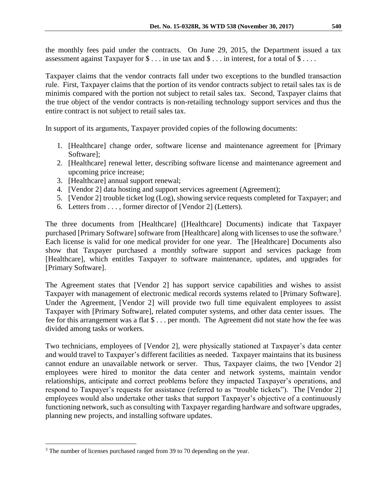the monthly fees paid under the contracts. On June 29, 2015, the Department issued a tax assessment against Taxpayer for \$ . . . in use tax and \$ . . . in interest, for a total of \$ . . . .

Taxpayer claims that the vendor contracts fall under two exceptions to the bundled transaction rule. First, Taxpayer claims that the portion of its vendor contracts subject to retail sales tax is de minimis compared with the portion not subject to retail sales tax. Second, Taxpayer claims that the true object of the vendor contracts is non-retailing technology support services and thus the entire contract is not subject to retail sales tax.

In support of its arguments, Taxpayer provided copies of the following documents:

- 1. [Healthcare] change order, software license and maintenance agreement for [Primary Software];
- 2. [Healthcare] renewal letter, describing software license and maintenance agreement and upcoming price increase;
- 3. [Healthcare] annual support renewal;
- 4. [Vendor 2] data hosting and support services agreement (Agreement);
- 5. [Vendor 2] trouble ticket log (Log), showing service requests completed for Taxpayer; and
- 6. Letters from . . . , former director of [Vendor 2] (Letters).

The three documents from [Healthcare] ([Healthcare] Documents) indicate that Taxpayer purchased [Primary Software] software from [Healthcare] along with licenses to use the software.<sup>3</sup> Each license is valid for one medical provider for one year. The [Healthcare] Documents also show that Taxpayer purchased a monthly software support and services package from [Healthcare], which entitles Taxpayer to software maintenance, updates, and upgrades for [Primary Software].

The Agreement states that [Vendor 2] has support service capabilities and wishes to assist Taxpayer with management of electronic medical records systems related to [Primary Software]. Under the Agreement, [Vendor 2] will provide two full time equivalent employees to assist Taxpayer with [Primary Software], related computer systems, and other data center issues. The fee for this arrangement was a flat \$ . . . per month. The Agreement did not state how the fee was divided among tasks or workers.

Two technicians, employees of [Vendor 2], were physically stationed at Taxpayer's data center and would travel to Taxpayer's different facilities as needed. Taxpayer maintains that its business cannot endure an unavailable network or server. Thus, Taxpayer claims, the two [Vendor 2] employees were hired to monitor the data center and network systems, maintain vendor relationships, anticipate and correct problems before they impacted Taxpayer's operations, and respond to Taxpayer's requests for assistance (referred to as "trouble tickets"). The [Vendor 2] employees would also undertake other tasks that support Taxpayer's objective of a continuously functioning network, such as consulting with Taxpayer regarding hardware and software upgrades, planning new projects, and installing software updates.

<sup>&</sup>lt;sup>3</sup> The number of licenses purchased ranged from 39 to 70 depending on the year.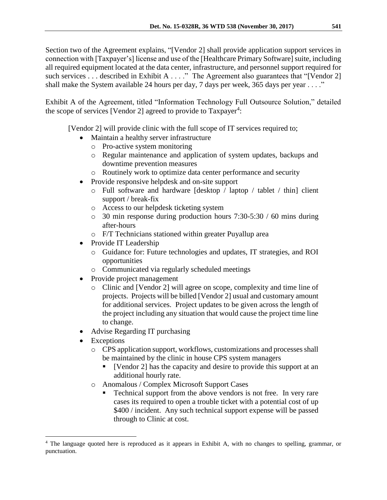Section two of the Agreement explains, "[Vendor 2] shall provide application support services in connection with [Taxpayer's] license and use of the [Healthcare Primary Software] suite, including all required equipment located at the data center, infrastructure, and personnel support required for such services . . . described in Exhibit A . . . ." The Agreement also guarantees that "[Vendor 2] shall make the System available 24 hours per day, 7 days per week, 365 days per year . . . ."

Exhibit A of the Agreement, titled "Information Technology Full Outsource Solution," detailed the scope of services [Vendor 2] agreed to provide to Taxpayer<sup>4</sup>:

[Vendor 2] will provide clinic with the full scope of IT services required to;

- Maintain a healthy server infrastructure
	- o Pro-active system monitoring
	- o Regular maintenance and application of system updates, backups and downtime prevention measures
	- o Routinely work to optimize data center performance and security
- Provide responsive helpdesk and on-site support
	- o Full software and hardware [desktop / laptop / tablet / thin] client support / break-fix
	- o Access to our helpdesk ticketing system
	- $\circ$  30 min response during production hours 7:30-5:30 / 60 mins during after-hours
	- o F/T Technicians stationed within greater Puyallup area
- Provide IT Leadership
	- o Guidance for: Future technologies and updates, IT strategies, and ROI opportunities
	- o Communicated via regularly scheduled meetings
- Provide project management
	- o Clinic and [Vendor 2] will agree on scope, complexity and time line of projects. Projects will be billed [Vendor 2] usual and customary amount for additional services. Project updates to be given across the length of the project including any situation that would cause the project time line to change.
- Advise Regarding IT purchasing
- Exceptions

- o CPS application support, workflows, customizations and processes shall be maintained by the clinic in house CPS system managers
	- [Vendor 2] has the capacity and desire to provide this support at an additional hourly rate.
- o Anomalous / Complex Microsoft Support Cases
	- Technical support from the above vendors is not free. In very rare cases its required to open a trouble ticket with a potential cost of up \$400 / incident. Any such technical support expense will be passed through to Clinic at cost.

<sup>4</sup> The language quoted here is reproduced as it appears in Exhibit A, with no changes to spelling, grammar, or punctuation.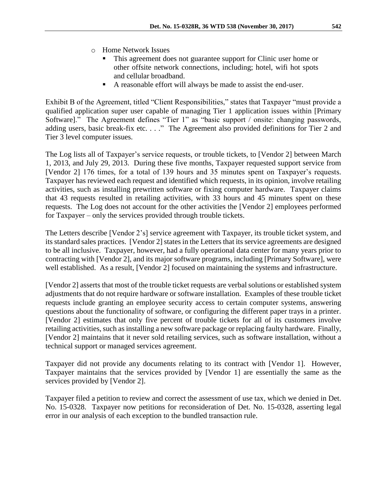- o Home Network Issues
	- This agreement does not guarantee support for Clinic user home or other offsite network connections, including; hotel, wifi hot spots and cellular broadband.
	- A reasonable effort will always be made to assist the end-user.

Exhibit B of the Agreement, titled "Client Responsibilities," states that Taxpayer "must provide a qualified application super user capable of managing Tier 1 application issues within [Primary Software]." The Agreement defines "Tier 1" as "basic support / onsite: changing passwords, adding users, basic break-fix etc. . . ." The Agreement also provided definitions for Tier 2 and Tier 3 level computer issues.

The Log lists all of Taxpayer's service requests, or trouble tickets, to [Vendor 2] between March 1, 2013, and July 29, 2013. During these five months, Taxpayer requested support service from [Vendor 2] 176 times, for a total of 139 hours and 35 minutes spent on Taxpayer's requests. Taxpayer has reviewed each request and identified which requests, in its opinion, involve retailing activities, such as installing prewritten software or fixing computer hardware. Taxpayer claims that 43 requests resulted in retailing activities, with 33 hours and 45 minutes spent on these requests. The Log does not account for the other activities the [Vendor 2] employees performed for Taxpayer – only the services provided through trouble tickets.

The Letters describe [Vendor 2's] service agreement with Taxpayer, its trouble ticket system, and its standard sales practices. [Vendor 2] states in the Letters that its service agreements are designed to be all inclusive. Taxpayer, however, had a fully operational data center for many years prior to contracting with [Vendor 2], and its major software programs, including [Primary Software], were well established. As a result, [Vendor 2] focused on maintaining the systems and infrastructure.

[Vendor 2] asserts that most of the trouble ticket requests are verbal solutions or established system adjustments that do not require hardware or software installation. Examples of these trouble ticket requests include granting an employee security access to certain computer systems, answering questions about the functionality of software, or configuring the different paper trays in a printer. [Vendor 2] estimates that only five percent of trouble tickets for all of its customers involve retailing activities, such as installing a new software package or replacing faulty hardware. Finally, [Vendor 2] maintains that it never sold retailing services, such as software installation, without a technical support or managed services agreement.

Taxpayer did not provide any documents relating to its contract with [Vendor 1]. However, Taxpayer maintains that the services provided by [Vendor 1] are essentially the same as the services provided by [Vendor 2].

Taxpayer filed a petition to review and correct the assessment of use tax, which we denied in Det. No. 15-0328. Taxpayer now petitions for reconsideration of Det. No. 15-0328, asserting legal error in our analysis of each exception to the bundled transaction rule.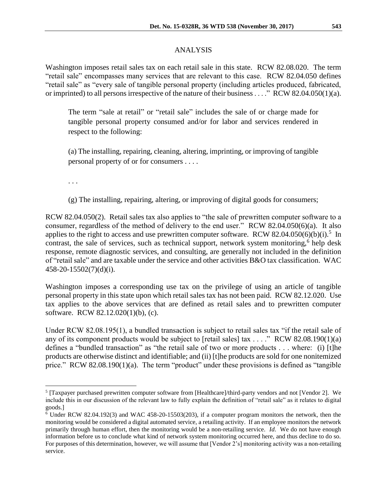## ANALYSIS

Washington imposes retail sales tax on each retail sale in this state. RCW 82.08.020. The term "retail sale" encompasses many services that are relevant to this case. RCW 82.04.050 defines "retail sale" as "every sale of tangible personal property (including articles produced, fabricated, or imprinted) to all persons irrespective of the nature of their business . . . ." RCW 82.04.050(1)(a).

The term "sale at retail" or "retail sale" includes the sale of or charge made for tangible personal property consumed and/or for labor and services rendered in respect to the following:

(a) The installing, repairing, cleaning, altering, imprinting, or improving of tangible personal property of or for consumers . . . .

. . .

 $\overline{a}$ 

(g) The installing, repairing, altering, or improving of digital goods for consumers;

RCW 82.04.050(2). Retail sales tax also applies to "the sale of prewritten computer software to a consumer, regardless of the method of delivery to the end user." RCW 82.04.050(6)(a). It also applies to the right to access and use prewritten computer software. RCW 82.04.050(6)(b)(i).<sup>5</sup> In contrast, the sale of services, such as technical support, network system monitoring,<sup>6</sup> help desk response, remote diagnostic services, and consulting, are generally not included in the definition of "retail sale" and are taxable under the service and other activities B&O tax classification. WAC 458-20-15502(7)(d)(i).

Washington imposes a corresponding use tax on the privilege of using an article of tangible personal property in this state upon which retail sales tax has not been paid. RCW 82.12.020. Use tax applies to the above services that are defined as retail sales and to prewritten computer software. RCW 82.12.020(1)(b), (c).

Under RCW 82.08.195(1), a bundled transaction is subject to retail sales tax "if the retail sale of any of its component products would be subject to [retail sales] tax . . . ." RCW 82.08.190(1)(a) defines a "bundled transaction" as "the retail sale of two or more products . . . where: (i) [t]he products are otherwise distinct and identifiable; and (ii) [t]he products are sold for one nonitemized price." RCW 82.08.190(1)(a). The term "product" under these provisions is defined as "tangible

<sup>5</sup> [Taxpayer purchased prewritten computer software from [Healthcare]/third-party vendors and not [Vendor 2]. We include this in our discussion of the relevant law to fully explain the definition of "retail sale" as it relates to digital goods.]

 $6$  Under RCW 82.04.192(3) and WAC 458-20-15503(203), if a computer program monitors the network, then the monitoring would be considered a digital automated service, a retailing activity. If an employee monitors the network primarily through human effort, then the monitoring would be a non-retailing service. *Id*. We do not have enough information before us to conclude what kind of network system monitoring occurred here, and thus decline to do so. For purposes of this determination, however, we will assume that [Vendor 2's] monitoring activity was a non-retailing service.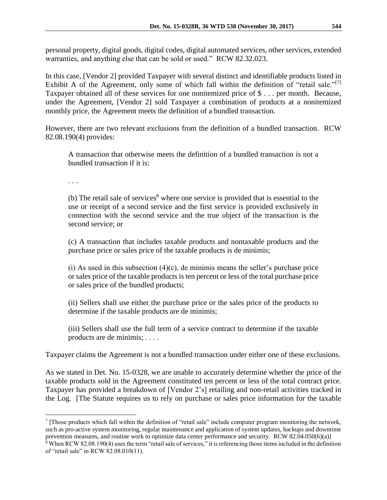personal property, digital goods, digital codes, digital automated services, other services, extended warranties, and anything else that can be sold or used." RCW 82.32.023.

In this case, [Vendor 2] provided Taxpayer with several distinct and identifiable products listed in Exhibit A of the Agreement, only some of which fall within the definition of "retail sale."<sup>[7]</sup> Taxpayer obtained all of these services for one nonitemized price of \$ . . . per month. Because, under the Agreement, [Vendor 2] sold Taxpayer a combination of products at a nonitemized monthly price, the Agreement meets the definition of a bundled transaction.

However, there are two relevant exclusions from the definition of a bundled transaction. RCW 82.08.190(4) provides:

A transaction that otherwise meets the definition of a bundled transaction is not a bundled transaction if it is:

. . .

 $\overline{a}$ 

(b) The retail sale of services<sup>8</sup> where one service is provided that is essential to the use or receipt of a second service and the first service is provided exclusively in connection with the second service and the true object of the transaction is the second service; or

(c) A transaction that includes taxable products and nontaxable products and the purchase price or sales price of the taxable products is de minimis;

 $(i)$  As used in this subsection  $(4)(c)$ , de minimis means the seller's purchase price or sales price of the taxable products is ten percent or less of the total purchase price or sales price of the bundled products;

(ii) Sellers shall use either the purchase price or the sales price of the products to determine if the taxable products are de minimis;

(iii) Sellers shall use the full term of a service contract to determine if the taxable products are de minimis; . . . .

Taxpayer claims the Agreement is not a bundled transaction under either one of these exclusions.

As we stated in Det. No. 15-0328, we are unable to accurately determine whether the price of the taxable products sold in the Agreement constituted ten percent or less of the total contract price. Taxpayer has provided a breakdown of [Vendor 2's] retailing and non-retail activities tracked in the Log. [The Statute requires us to rely on purchase or sales price information for the taxable

<sup>7</sup> [Those products which fall within the definition of "retail sale" include computer program monitoring the network, such as pro-active system monitoring, regular maintenance and application of system updates, backups and downtime prevention measures, and routine work to optimize data center performance and security. RCW 82.04.050(6)(a)]

<sup>&</sup>lt;sup>8</sup> When RCW 82.08.190(4) uses the term "retail sale of services," it is referencing those items included in the definition of "retail sale" in RCW 82.08.010(11).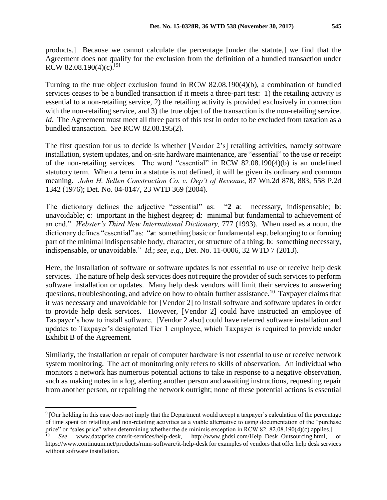products.] Because we cannot calculate the percentage [under the statute,] we find that the Agreement does not qualify for the exclusion from the definition of a bundled transaction under RCW 82.08.190(4)(c).<sup>[9]</sup>

Turning to the true object exclusion found in RCW 82.08.190(4)(b), a combination of bundled services ceases to be a bundled transaction if it meets a three-part test: 1) the retailing activity is essential to a non-retailing service, 2) the retailing activity is provided exclusively in connection with the non-retailing service, and 3) the true object of the transaction is the non-retailing service. *Id*. The Agreement must meet all three parts of this test in order to be excluded from taxation as a bundled transaction. *See* RCW 82.08.195(2).

The first question for us to decide is whether [Vendor 2's] retailing activities, namely software installation, system updates, and on-site hardware maintenance, are "essential" to the use or receipt of the non-retailing services. The word "essential" in RCW 82.08.190(4)(b) is an undefined statutory term. When a term in a statute is not defined, it will be given its ordinary and common meaning. *John H. Sellen Construction Co. v. Dep't of Revenue*, 87 Wn.2d 878, 883, 558 P.2d 1342 (1976); Det. No. 04-0147, 23 WTD 369 (2004).

The dictionary defines the adjective "essential" as: "**2 a**: necessary, indispensable; **b**: unavoidable; **c**: important in the highest degree; **d**: minimal but fundamental to achievement of an end." *Webster's Third New International Dictionary,* 777 (1993). When used as a noun, the dictionary defines "essential" as: "**a**: something basic or fundamental esp. belonging to or forming part of the minimal indispensable body, character, or structure of a thing; **b**: something necessary, indispensable, or unavoidable." *Id.*; *see, e.g.*, Det. No. 11-0006, 32 WTD 7 (2013).

Here, the installation of software or software updates is not essential to use or receive help desk services. The nature of help desk services does not require the provider of such services to perform software installation or updates. Many help desk vendors will limit their services to answering questions, troubleshooting, and advice on how to obtain further assistance.<sup>10</sup> Taxpayer claims that it was necessary and unavoidable for [Vendor 2] to install software and software updates in order to provide help desk services. However, [Vendor 2] could have instructed an employee of Taxpayer's how to install software. [Vendor 2 also] could have referred software installation and updates to Taxpayer's designated Tier 1 employee, which Taxpayer is required to provide under Exhibit B of the Agreement.

Similarly, the installation or repair of computer hardware is not essential to use or receive network system monitoring. The act of monitoring only refers to skills of observation. An individual who monitors a network has numerous potential actions to take in response to a negative observation, such as making notes in a log, alerting another person and awaiting instructions, requesting repair from another person, or repairing the network outright; none of these potential actions is essential

<sup>9</sup> [Our holding in this case does not imply that the Department would accept a taxpayer's calculation of the percentage of time spent on retailing and non-retailing activities as a viable alternative to using documentation of the "purchase price" or "sales price" when determining whether the de minimis exception in RCW 82. 82.08.190(4)(c) applies.]

<sup>&</sup>lt;sup>10</sup> *See* www.dataprise.com/it-services/help-desk, http://www.ghdsi.com/Help\_Desk\_Outsourcing.html, https://www.continuum.net/products/rmm-software/it-help-desk for examples of vendors that offer help desk services without software installation.